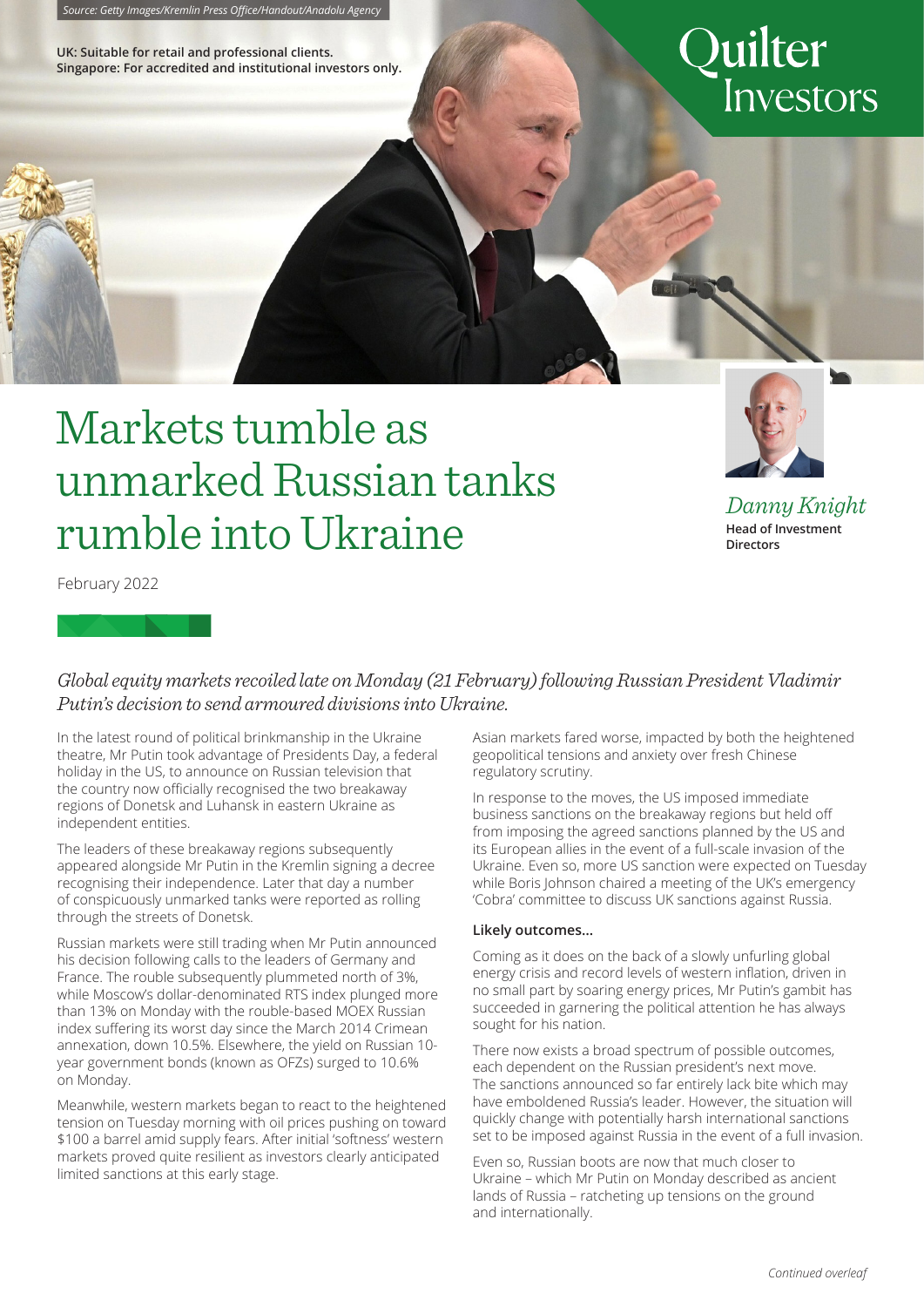**UK: Suitable for retail and professional clients. Singapore: For accredited and institutional investors only.**

# Quilter Investors

## Markets tumble as unmarked Russian tanks rumble into Ukraine



*Danny Knight* **Head of Investment Directors**

February 2022

### *Global equity markets recoiled late on Monday (21 February) following Russian President Vladimir Putin's decision to send armoured divisions into Ukraine.*

In the latest round of political brinkmanship in the Ukraine theatre, Mr Putin took advantage of Presidents Day, a federal holiday in the US, to announce on Russian television that the country now officially recognised the two breakaway regions of Donetsk and Luhansk in eastern Ukraine as independent entities.

The leaders of these breakaway regions subsequently appeared alongside Mr Putin in the Kremlin signing a decree recognising their independence. Later that day a number of conspicuously unmarked tanks were reported as rolling through the streets of Donetsk.

Russian markets were still trading when Mr Putin announced his decision following calls to the leaders of Germany and France. The rouble subsequently plummeted north of 3%, while Moscow's dollar-denominated RTS index plunged more than 13% on Monday with the rouble-based MOEX Russian index suffering its worst day since the March 2014 Crimean annexation, down 10.5%. Elsewhere, the yield on Russian 10 year government bonds (known as OFZs) surged to 10.6% on Monday.

Meanwhile, western markets began to react to the heightened tension on Tuesday morning with oil prices pushing on toward \$100 a barrel amid supply fears. After initial 'softness' western markets proved quite resilient as investors clearly anticipated limited sanctions at this early stage.

Asian markets fared worse, impacted by both the heightened geopolitical tensions and anxiety over fresh Chinese regulatory scrutiny.

In response to the moves, the US imposed immediate business sanctions on the breakaway regions but held off from imposing the agreed sanctions planned by the US and its European allies in the event of a full-scale invasion of the Ukraine. Even so, more US sanction were expected on Tuesday while Boris Johnson chaired a meeting of the UK's emergency 'Cobra' committee to discuss UK sanctions against Russia.

#### **Likely outcomes…**

Coming as it does on the back of a slowly unfurling global energy crisis and record levels of western inflation, driven in no small part by soaring energy prices, Mr Putin's gambit has succeeded in garnering the political attention he has always sought for his nation.

There now exists a broad spectrum of possible outcomes, each dependent on the Russian president's next move. The sanctions announced so far entirely lack bite which may have emboldened Russia's leader. However, the situation will quickly change with potentially harsh international sanctions set to be imposed against Russia in the event of a full invasion.

Even so, Russian boots are now that much closer to Ukraine – which Mr Putin on Monday described as ancient lands of Russia – ratcheting up tensions on the ground and internationally.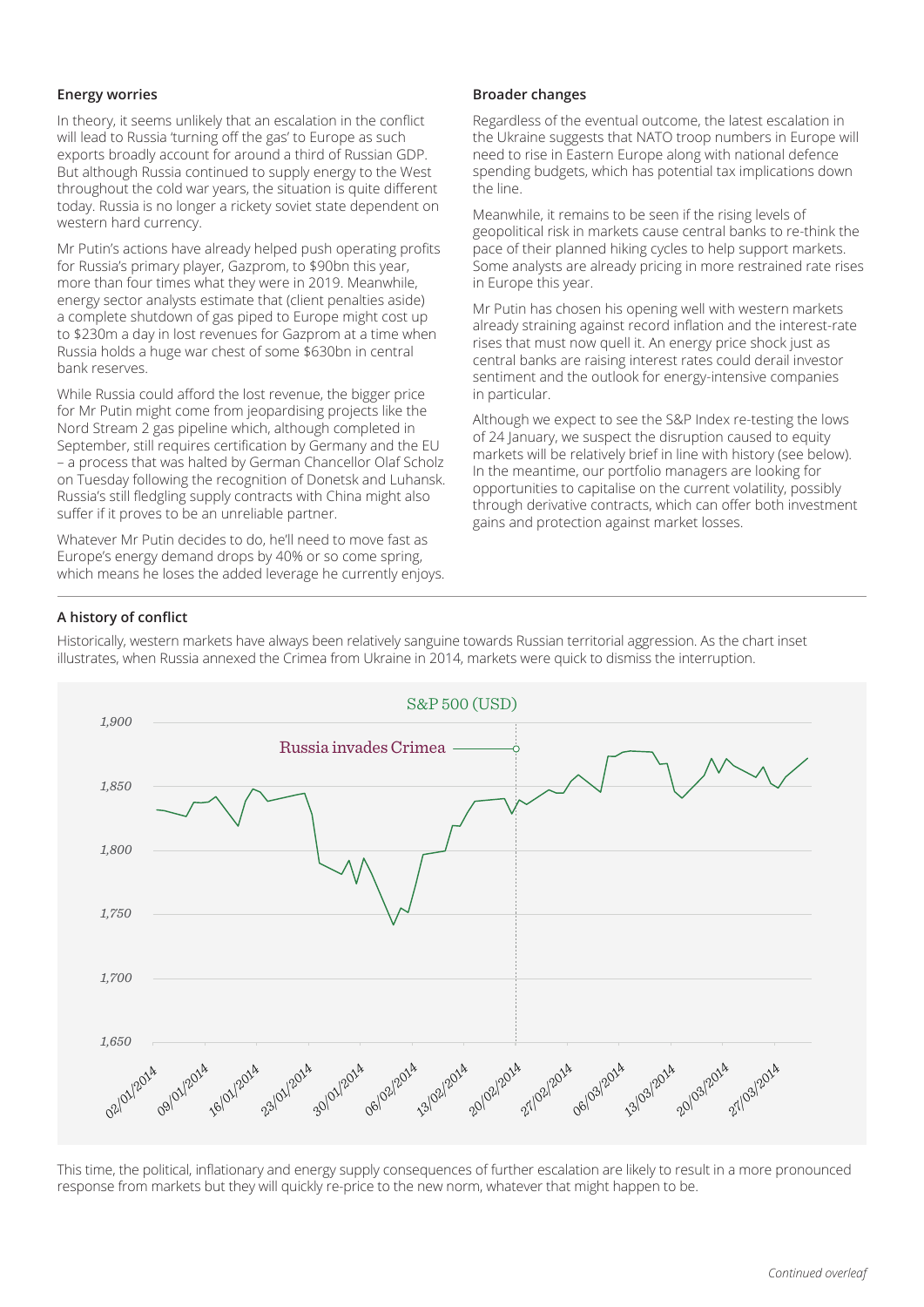#### **Energy worries**

In theory, it seems unlikely that an escalation in the conflict will lead to Russia 'turning off the gas' to Europe as such exports broadly account for around a third of Russian GDP. But although Russia continued to supply energy to the West throughout the cold war years, the situation is quite different today. Russia is no longer a rickety soviet state dependent on western hard currency.

Mr Putin's actions have already helped push operating profits for Russia's primary player, Gazprom, to \$90bn this year, more than four times what they were in 2019. Meanwhile, energy sector analysts estimate that (client penalties aside) a complete shutdown of gas piped to Europe might cost up to \$230m a day in lost revenues for Gazprom at a time when Russia holds a huge war chest of some \$630bn in central bank reserves.

While Russia could afford the lost revenue, the bigger price for Mr Putin might come from jeopardising projects like the Nord Stream 2 gas pipeline which, although completed in September, still requires certification by Germany and the EU – a process that was halted by German Chancellor Olaf Scholz on Tuesday following the recognition of Donetsk and Luhansk. Russia's still fledgling supply contracts with China might also suffer if it proves to be an unreliable partner.

Whatever Mr Putin decides to do, he'll need to move fast as Europe's energy demand drops by 40% or so come spring, which means he loses the added leverage he currently enjoys.

#### **Broader changes**

Regardless of the eventual outcome, the latest escalation in the Ukraine suggests that NATO troop numbers in Europe will need to rise in Eastern Europe along with national defence spending budgets, which has potential tax implications down the line.

Meanwhile, it remains to be seen if the rising levels of geopolitical risk in markets cause central banks to re-think the pace of their planned hiking cycles to help support markets. Some analysts are already pricing in more restrained rate rises in Europe this year.

Mr Putin has chosen his opening well with western markets already straining against record inflation and the interest-rate rises that must now quell it. An energy price shock just as central banks are raising interest rates could derail investor sentiment and the outlook for energy-intensive companies in particular.

Although we expect to see the S&P Index re-testing the lows of 24 January, we suspect the disruption caused to equity markets will be relatively brief in line with history (see below). In the meantime, our portfolio managers are looking for opportunities to capitalise on the current volatility, possibly through derivative contracts, which can offer both investment gains and protection against market losses.

#### **A history of conflict**

Historically, western markets have always been relatively sanguine towards Russian territorial aggression. As the chart inset illustrates, when Russia annexed the Crimea from Ukraine in 2014, markets were quick to dismiss the interruption.



*25* **7.4%** response from markets but they will quickly re-price to the new norm, whatever that might happen to be.This time, the political, inflationary and energy supply consequences of further escalation are likely to result in a more pronounced